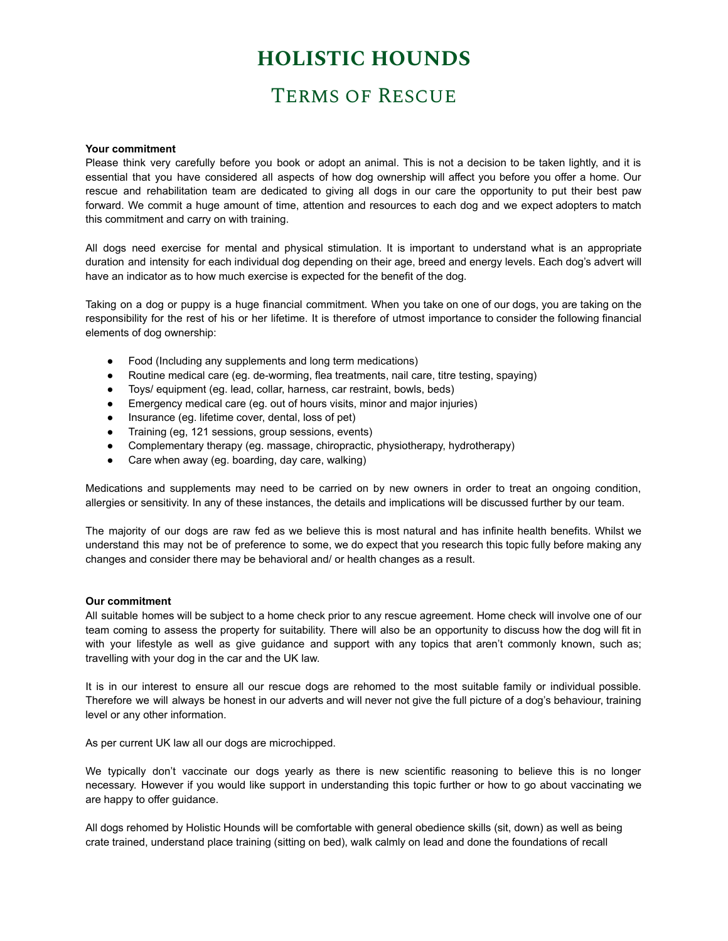## **HOLISTIC HOUNDS**

### Terms of Rescue

#### **Your commitment**

Please think very carefully before you book or adopt an animal. This is not a decision to be taken lightly, and it is essential that you have considered all aspects of how dog ownership will affect you before you offer a home. Our rescue and rehabilitation team are dedicated to giving all dogs in our care the opportunity to put their best paw forward. We commit a huge amount of time, attention and resources to each dog and we expect adopters to match this commitment and carry on with training.

All dogs need exercise for mental and physical stimulation. It is important to understand what is an appropriate duration and intensity for each individual dog depending on their age, breed and energy levels. Each dog's advert will have an indicator as to how much exercise is expected for the benefit of the dog.

Taking on a dog or puppy is a huge financial commitment. When you take on one of our dogs, you are taking on the responsibility for the rest of his or her lifetime. It is therefore of utmost importance to consider the following financial elements of dog ownership:

- Food (Including any supplements and long term medications)
- Routine medical care (eg. de-worming, flea treatments, nail care, titre testing, spaying)
- Toys/ equipment (eg. lead, collar, harness, car restraint, bowls, beds)
- Emergency medical care (eg. out of hours visits, minor and major injuries)
- Insurance (eg. lifetime cover, dental, loss of pet)
- Training (eg, 121 sessions, group sessions, events)
- Complementary therapy (eg. massage, chiropractic, physiotherapy, hydrotherapy)
- Care when away (eg. boarding, day care, walking)

Medications and supplements may need to be carried on by new owners in order to treat an ongoing condition, allergies or sensitivity. In any of these instances, the details and implications will be discussed further by our team.

The majority of our dogs are raw fed as we believe this is most natural and has infinite health benefits. Whilst we understand this may not be of preference to some, we do expect that you research this topic fully before making any changes and consider there may be behavioral and/ or health changes as a result.

### **Our commitment**

All suitable homes will be subject to a home check prior to any rescue agreement. Home check will involve one of our team coming to assess the property for suitability. There will also be an opportunity to discuss how the dog will fit in with your lifestyle as well as give guidance and support with any topics that aren't commonly known, such as; travelling with your dog in the car and the UK law.

It is in our interest to ensure all our rescue dogs are rehomed to the most suitable family or individual possible. Therefore we will always be honest in our adverts and will never not give the full picture of a dog's behaviour, training level or any other information.

As per current UK law all our dogs are microchipped.

We typically don't vaccinate our dogs yearly as there is new scientific reasoning to believe this is no longer necessary. However if you would like support in understanding this topic further or how to go about vaccinating we are happy to offer guidance.

All dogs rehomed by Holistic Hounds will be comfortable with general obedience skills (sit, down) as well as being crate trained, understand place training (sitting on bed), walk calmly on lead and done the foundations of recall